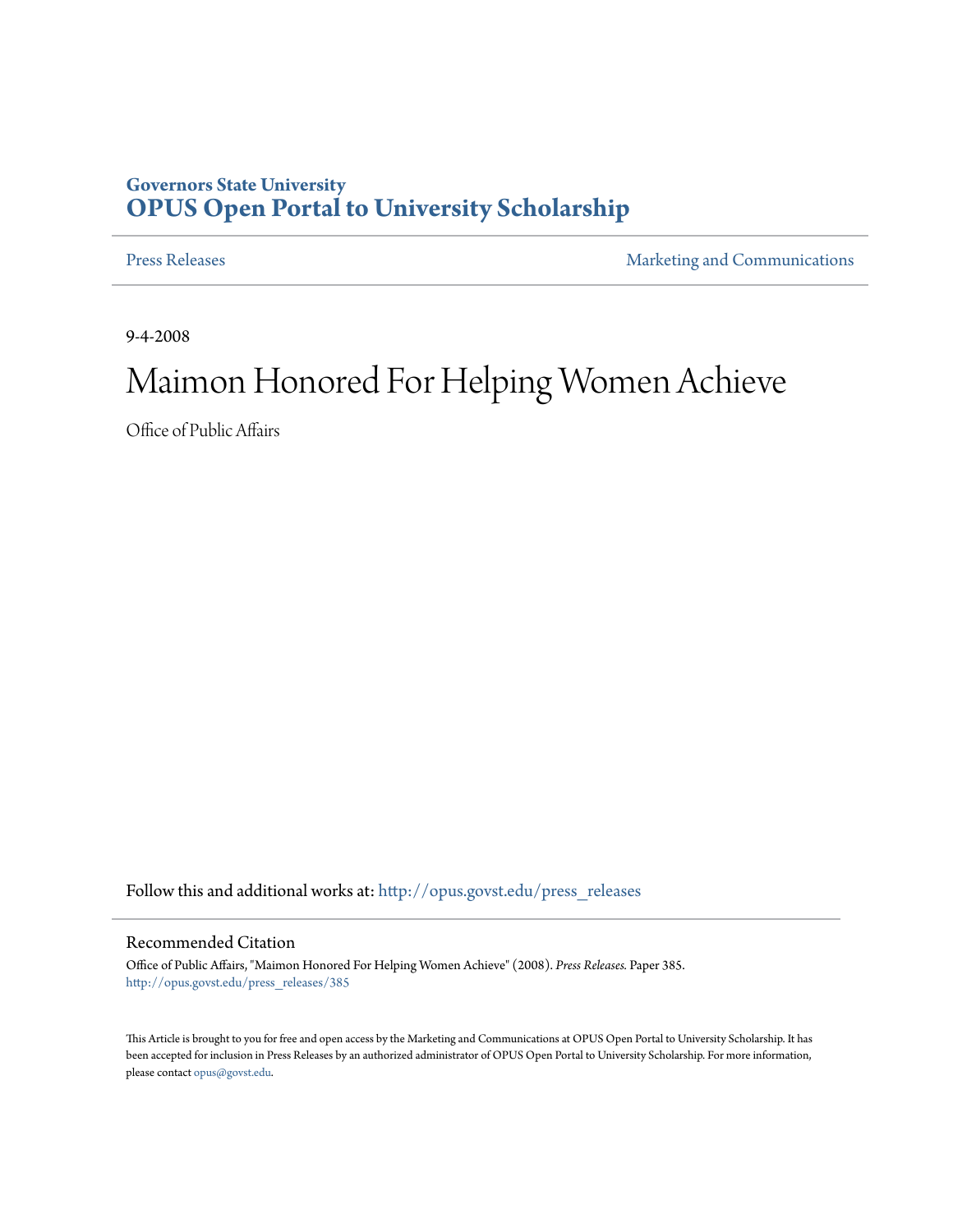## **Governors State University [OPUS Open Portal to University Scholarship](http://opus.govst.edu?utm_source=opus.govst.edu%2Fpress_releases%2F385&utm_medium=PDF&utm_campaign=PDFCoverPages)**

[Press Releases](http://opus.govst.edu/press_releases?utm_source=opus.govst.edu%2Fpress_releases%2F385&utm_medium=PDF&utm_campaign=PDFCoverPages) **[Marketing and Communications](http://opus.govst.edu/marketing_comm?utm_source=opus.govst.edu%2Fpress_releases%2F385&utm_medium=PDF&utm_campaign=PDFCoverPages)** 

9-4-2008

## Maimon Honored For Helping Women Achieve

Office of Public Affairs

Follow this and additional works at: [http://opus.govst.edu/press\\_releases](http://opus.govst.edu/press_releases?utm_source=opus.govst.edu%2Fpress_releases%2F385&utm_medium=PDF&utm_campaign=PDFCoverPages)

## Recommended Citation

Office of Public Affairs, "Maimon Honored For Helping Women Achieve" (2008). *Press Releases.* Paper 385. [http://opus.govst.edu/press\\_releases/385](http://opus.govst.edu/press_releases/385?utm_source=opus.govst.edu%2Fpress_releases%2F385&utm_medium=PDF&utm_campaign=PDFCoverPages)

This Article is brought to you for free and open access by the Marketing and Communications at OPUS Open Portal to University Scholarship. It has been accepted for inclusion in Press Releases by an authorized administrator of OPUS Open Portal to University Scholarship. For more information, please contact [opus@govst.edu](mailto:opus@govst.edu).